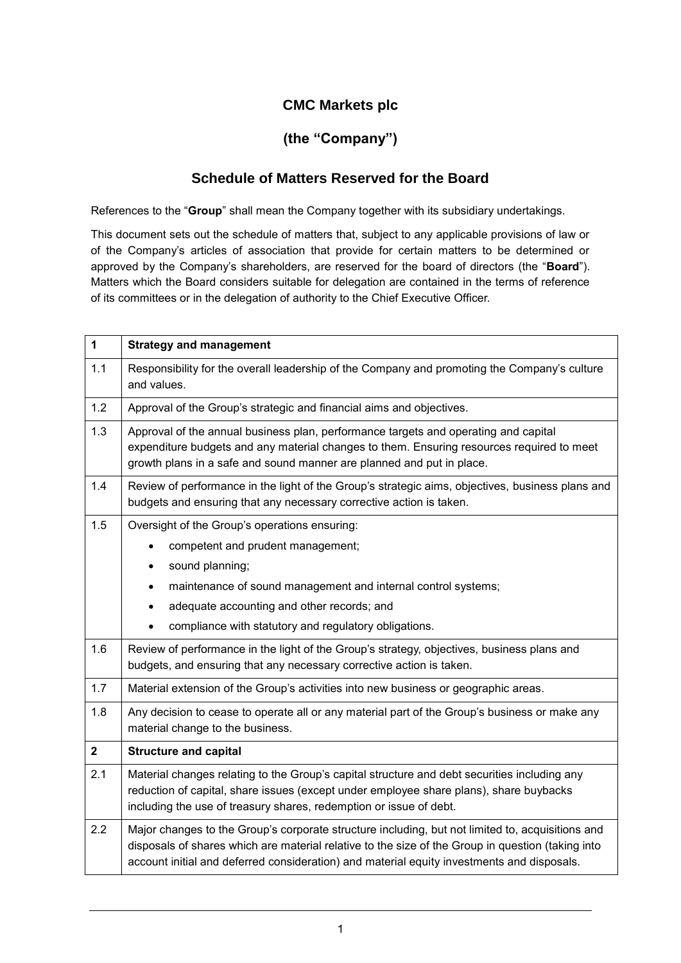# **CMC Markets plc**

# **(the "Company")**

## **Schedule of Matters Reserved for the Board**

References to the "**Group**" shall mean the Company together with its subsidiary undertakings.

This document sets out the schedule of matters that, subject to any applicable provisions of law or of the Company's articles of association that provide for certain matters to be determined or approved by the Company's shareholders, are reserved for the board of directors (the "**Board**"). Matters which the Board considers suitable for delegation are contained in the terms of reference of its committees or in the delegation of authority to the Chief Executive Officer.

| $\mathbf{1}$   | <b>Strategy and management</b>                                                                                                                                                                                                                                                                      |
|----------------|-----------------------------------------------------------------------------------------------------------------------------------------------------------------------------------------------------------------------------------------------------------------------------------------------------|
| 1.1            | Responsibility for the overall leadership of the Company and promoting the Company's culture<br>and values.                                                                                                                                                                                         |
| 1.2            | Approval of the Group's strategic and financial aims and objectives.                                                                                                                                                                                                                                |
| 1.3            | Approval of the annual business plan, performance targets and operating and capital<br>expenditure budgets and any material changes to them. Ensuring resources required to meet<br>growth plans in a safe and sound manner are planned and put in place.                                           |
| 1.4            | Review of performance in the light of the Group's strategic aims, objectives, business plans and<br>budgets and ensuring that any necessary corrective action is taken.                                                                                                                             |
| 1.5            | Oversight of the Group's operations ensuring:                                                                                                                                                                                                                                                       |
|                | competent and prudent management;                                                                                                                                                                                                                                                                   |
|                | sound planning;<br>$\bullet$                                                                                                                                                                                                                                                                        |
|                | maintenance of sound management and internal control systems;<br>$\bullet$                                                                                                                                                                                                                          |
|                | adequate accounting and other records; and<br>$\bullet$                                                                                                                                                                                                                                             |
|                | compliance with statutory and regulatory obligations.                                                                                                                                                                                                                                               |
| 1.6            | Review of performance in the light of the Group's strategy, objectives, business plans and<br>budgets, and ensuring that any necessary corrective action is taken.                                                                                                                                  |
| 1.7            | Material extension of the Group's activities into new business or geographic areas.                                                                                                                                                                                                                 |
| 1.8            | Any decision to cease to operate all or any material part of the Group's business or make any<br>material change to the business.                                                                                                                                                                   |
| $\overline{2}$ | <b>Structure and capital</b>                                                                                                                                                                                                                                                                        |
| 2.1            | Material changes relating to the Group's capital structure and debt securities including any<br>reduction of capital, share issues (except under employee share plans), share buybacks<br>including the use of treasury shares, redemption or issue of debt.                                        |
| 2.2            | Major changes to the Group's corporate structure including, but not limited to, acquisitions and<br>disposals of shares which are material relative to the size of the Group in question (taking into<br>account initial and deferred consideration) and material equity investments and disposals. |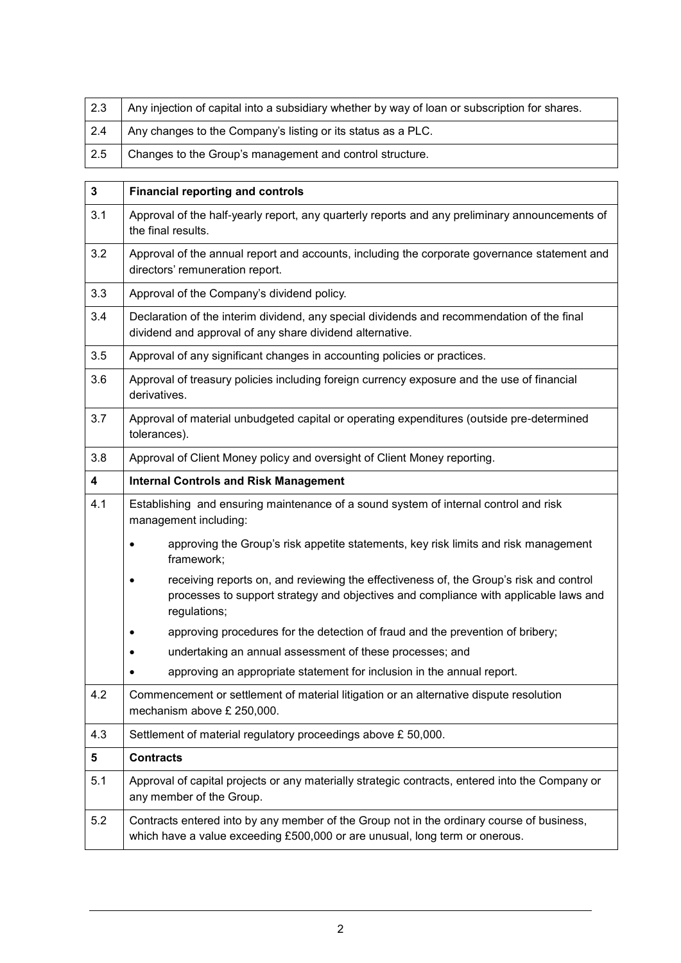| 2.3 | Any injection of capital into a subsidiary whether by way of loan or subscription for shares. |
|-----|-----------------------------------------------------------------------------------------------|
| 2.4 | Any changes to the Company's listing or its status as a PLC.                                  |
| 2.5 | Changes to the Group's management and control structure.                                      |

| $\mathbf{3}$   | <b>Financial reporting and controls</b>                                                                                                                                                        |
|----------------|------------------------------------------------------------------------------------------------------------------------------------------------------------------------------------------------|
| 3.1            | Approval of the half-yearly report, any quarterly reports and any preliminary announcements of<br>the final results.                                                                           |
| 3.2            | Approval of the annual report and accounts, including the corporate governance statement and<br>directors' remuneration report.                                                                |
| 3.3            | Approval of the Company's dividend policy.                                                                                                                                                     |
| 3.4            | Declaration of the interim dividend, any special dividends and recommendation of the final<br>dividend and approval of any share dividend alternative.                                         |
| 3.5            | Approval of any significant changes in accounting policies or practices.                                                                                                                       |
| 3.6            | Approval of treasury policies including foreign currency exposure and the use of financial<br>derivatives.                                                                                     |
| 3.7            | Approval of material unbudgeted capital or operating expenditures (outside pre-determined<br>tolerances).                                                                                      |
| 3.8            | Approval of Client Money policy and oversight of Client Money reporting.                                                                                                                       |
| 4              | <b>Internal Controls and Risk Management</b>                                                                                                                                                   |
| 4.1            | Establishing and ensuring maintenance of a sound system of internal control and risk<br>management including:                                                                                  |
|                | approving the Group's risk appetite statements, key risk limits and risk management<br>framework;                                                                                              |
|                | receiving reports on, and reviewing the effectiveness of, the Group's risk and control<br>processes to support strategy and objectives and compliance with applicable laws and<br>regulations; |
|                | approving procedures for the detection of fraud and the prevention of bribery;                                                                                                                 |
|                | undertaking an annual assessment of these processes; and                                                                                                                                       |
|                | approving an appropriate statement for inclusion in the annual report.                                                                                                                         |
| 4.2            | Commencement or settlement of material litigation or an alternative dispute resolution<br>mechanism above £ 250,000.                                                                           |
| 4.3            | Settlement of material regulatory proceedings above £ 50,000.                                                                                                                                  |
| 5 <sup>5</sup> | <b>Contracts</b>                                                                                                                                                                               |
| 5.1            | Approval of capital projects or any materially strategic contracts, entered into the Company or<br>any member of the Group.                                                                    |
| 5.2            | Contracts entered into by any member of the Group not in the ordinary course of business,<br>which have a value exceeding £500,000 or are unusual, long term or onerous.                       |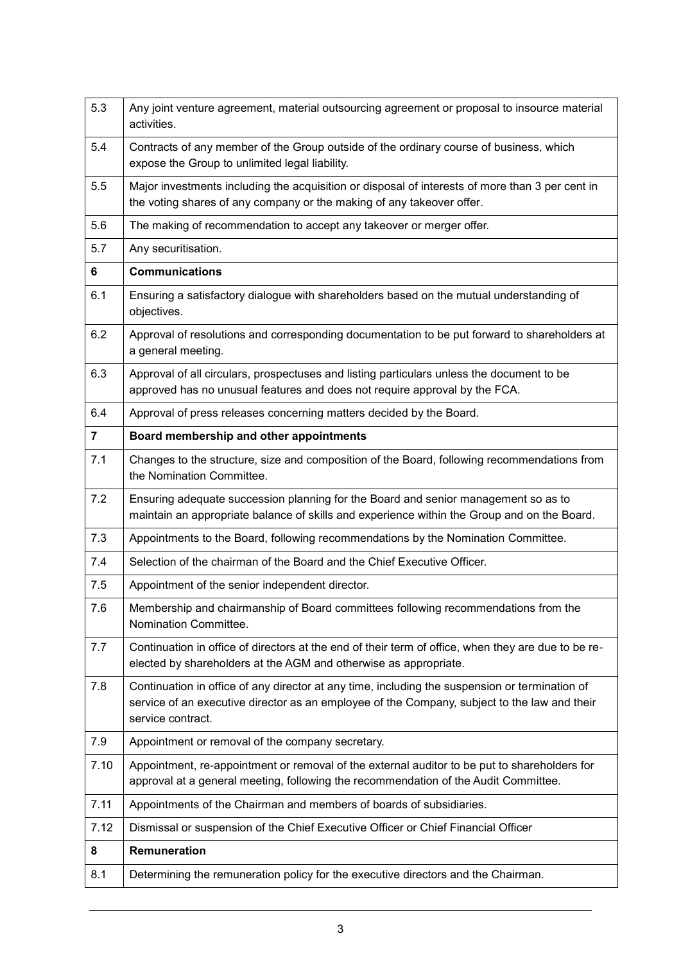| 5.3            | Any joint venture agreement, material outsourcing agreement or proposal to insource material<br>activities.                                                                                                         |
|----------------|---------------------------------------------------------------------------------------------------------------------------------------------------------------------------------------------------------------------|
| 5.4            | Contracts of any member of the Group outside of the ordinary course of business, which<br>expose the Group to unlimited legal liability.                                                                            |
| 5.5            | Major investments including the acquisition or disposal of interests of more than 3 per cent in<br>the voting shares of any company or the making of any takeover offer.                                            |
| 5.6            | The making of recommendation to accept any takeover or merger offer.                                                                                                                                                |
| 5.7            | Any securitisation.                                                                                                                                                                                                 |
| 6              | <b>Communications</b>                                                                                                                                                                                               |
| 6.1            | Ensuring a satisfactory dialogue with shareholders based on the mutual understanding of<br>objectives.                                                                                                              |
| 6.2            | Approval of resolutions and corresponding documentation to be put forward to shareholders at<br>a general meeting.                                                                                                  |
| 6.3            | Approval of all circulars, prospectuses and listing particulars unless the document to be<br>approved has no unusual features and does not require approval by the FCA.                                             |
| 6.4            | Approval of press releases concerning matters decided by the Board.                                                                                                                                                 |
| $\overline{7}$ | Board membership and other appointments                                                                                                                                                                             |
| 7.1            | Changes to the structure, size and composition of the Board, following recommendations from<br>the Nomination Committee.                                                                                            |
| 7.2            | Ensuring adequate succession planning for the Board and senior management so as to<br>maintain an appropriate balance of skills and experience within the Group and on the Board.                                   |
| 7.3            | Appointments to the Board, following recommendations by the Nomination Committee.                                                                                                                                   |
| 7.4            | Selection of the chairman of the Board and the Chief Executive Officer.                                                                                                                                             |
| 7.5            | Appointment of the senior independent director.                                                                                                                                                                     |
| 7.6            | Membership and chairmanship of Board committees following recommendations from the<br>Nomination Committee.                                                                                                         |
| 7.7            | Continuation in office of directors at the end of their term of office, when they are due to be re-<br>elected by shareholders at the AGM and otherwise as appropriate.                                             |
| 7.8            | Continuation in office of any director at any time, including the suspension or termination of<br>service of an executive director as an employee of the Company, subject to the law and their<br>service contract. |
| 7.9            | Appointment or removal of the company secretary.                                                                                                                                                                    |
| 7.10           | Appointment, re-appointment or removal of the external auditor to be put to shareholders for<br>approval at a general meeting, following the recommendation of the Audit Committee.                                 |
| 7.11           | Appointments of the Chairman and members of boards of subsidiaries.                                                                                                                                                 |
| 7.12           | Dismissal or suspension of the Chief Executive Officer or Chief Financial Officer                                                                                                                                   |
| 8              | Remuneration                                                                                                                                                                                                        |
| 8.1            | Determining the remuneration policy for the executive directors and the Chairman.                                                                                                                                   |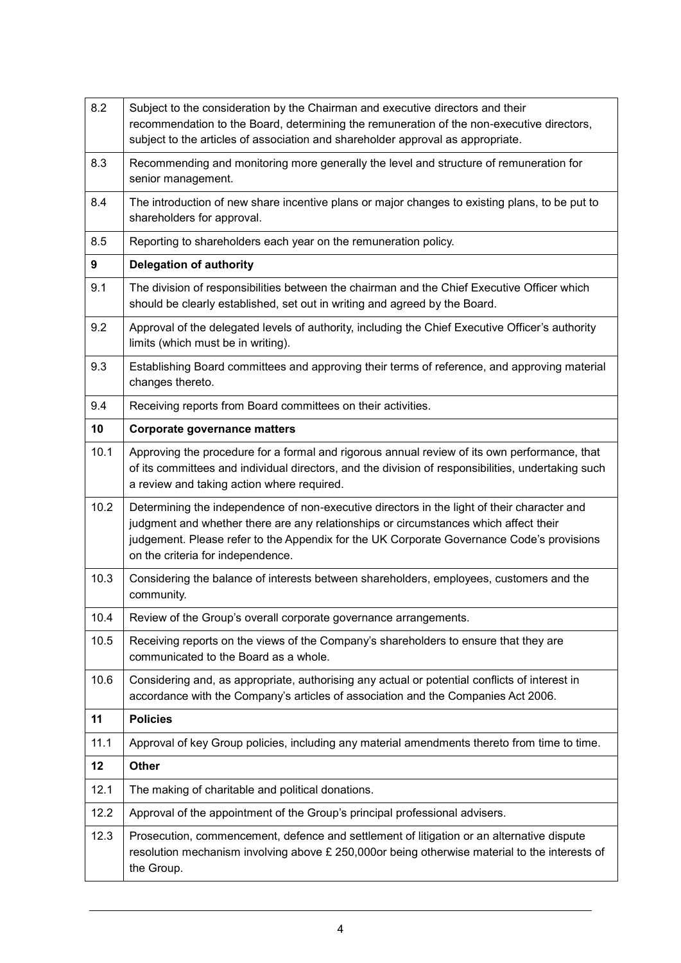| 8.2  | Subject to the consideration by the Chairman and executive directors and their<br>recommendation to the Board, determining the remuneration of the non-executive directors,<br>subject to the articles of association and shareholder approval as appropriate.                                                        |
|------|-----------------------------------------------------------------------------------------------------------------------------------------------------------------------------------------------------------------------------------------------------------------------------------------------------------------------|
| 8.3  | Recommending and monitoring more generally the level and structure of remuneration for<br>senior management.                                                                                                                                                                                                          |
| 8.4  | The introduction of new share incentive plans or major changes to existing plans, to be put to<br>shareholders for approval.                                                                                                                                                                                          |
| 8.5  | Reporting to shareholders each year on the remuneration policy.                                                                                                                                                                                                                                                       |
| 9    | <b>Delegation of authority</b>                                                                                                                                                                                                                                                                                        |
| 9.1  | The division of responsibilities between the chairman and the Chief Executive Officer which<br>should be clearly established, set out in writing and agreed by the Board.                                                                                                                                             |
| 9.2  | Approval of the delegated levels of authority, including the Chief Executive Officer's authority<br>limits (which must be in writing).                                                                                                                                                                                |
| 9.3  | Establishing Board committees and approving their terms of reference, and approving material<br>changes thereto.                                                                                                                                                                                                      |
| 9.4  | Receiving reports from Board committees on their activities.                                                                                                                                                                                                                                                          |
| 10   | <b>Corporate governance matters</b>                                                                                                                                                                                                                                                                                   |
| 10.1 | Approving the procedure for a formal and rigorous annual review of its own performance, that<br>of its committees and individual directors, and the division of responsibilities, undertaking such<br>a review and taking action where required.                                                                      |
| 10.2 | Determining the independence of non-executive directors in the light of their character and<br>judgment and whether there are any relationships or circumstances which affect their<br>judgement. Please refer to the Appendix for the UK Corporate Governance Code's provisions<br>on the criteria for independence. |
| 10.3 | Considering the balance of interests between shareholders, employees, customers and the<br>community.                                                                                                                                                                                                                 |
| 10.4 | Review of the Group's overall corporate governance arrangements.                                                                                                                                                                                                                                                      |
| 10.5 | Receiving reports on the views of the Company's shareholders to ensure that they are<br>communicated to the Board as a whole.                                                                                                                                                                                         |
| 10.6 | Considering and, as appropriate, authorising any actual or potential conflicts of interest in<br>accordance with the Company's articles of association and the Companies Act 2006.                                                                                                                                    |
| 11   | <b>Policies</b>                                                                                                                                                                                                                                                                                                       |
| 11.1 | Approval of key Group policies, including any material amendments thereto from time to time.                                                                                                                                                                                                                          |
| 12   | Other                                                                                                                                                                                                                                                                                                                 |
| 12.1 | The making of charitable and political donations.                                                                                                                                                                                                                                                                     |
| 12.2 | Approval of the appointment of the Group's principal professional advisers.                                                                                                                                                                                                                                           |
| 12.3 | Prosecution, commencement, defence and settlement of litigation or an alternative dispute<br>resolution mechanism involving above $E$ 250,000or being otherwise material to the interests of<br>the Group.                                                                                                            |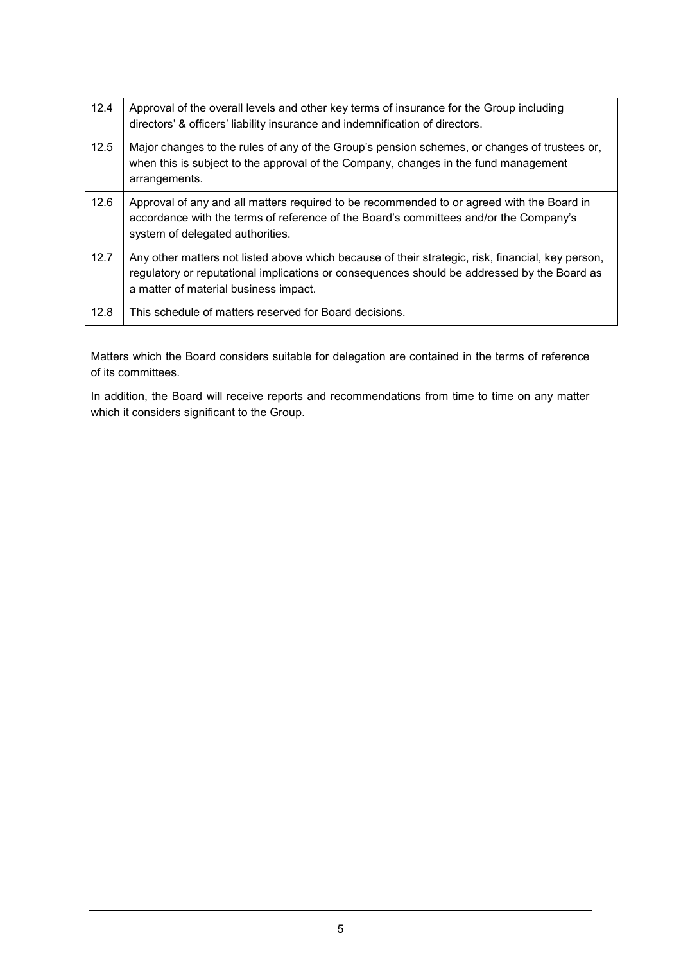| 12.4 | Approval of the overall levels and other key terms of insurance for the Group including<br>directors' & officers' liability insurance and indemnification of directors.                                                                   |
|------|-------------------------------------------------------------------------------------------------------------------------------------------------------------------------------------------------------------------------------------------|
| 12.5 | Major changes to the rules of any of the Group's pension schemes, or changes of trustees or,<br>when this is subject to the approval of the Company, changes in the fund management<br>arrangements.                                      |
| 12.6 | Approval of any and all matters required to be recommended to or agreed with the Board in<br>accordance with the terms of reference of the Board's committees and/or the Company's<br>system of delegated authorities.                    |
| 12.7 | Any other matters not listed above which because of their strategic, risk, financial, key person,<br>regulatory or reputational implications or consequences should be addressed by the Board as<br>a matter of material business impact. |
| 12.8 | This schedule of matters reserved for Board decisions.                                                                                                                                                                                    |

Matters which the Board considers suitable for delegation are contained in the terms of reference of its committees.

In addition, the Board will receive reports and recommendations from time to time on any matter which it considers significant to the Group.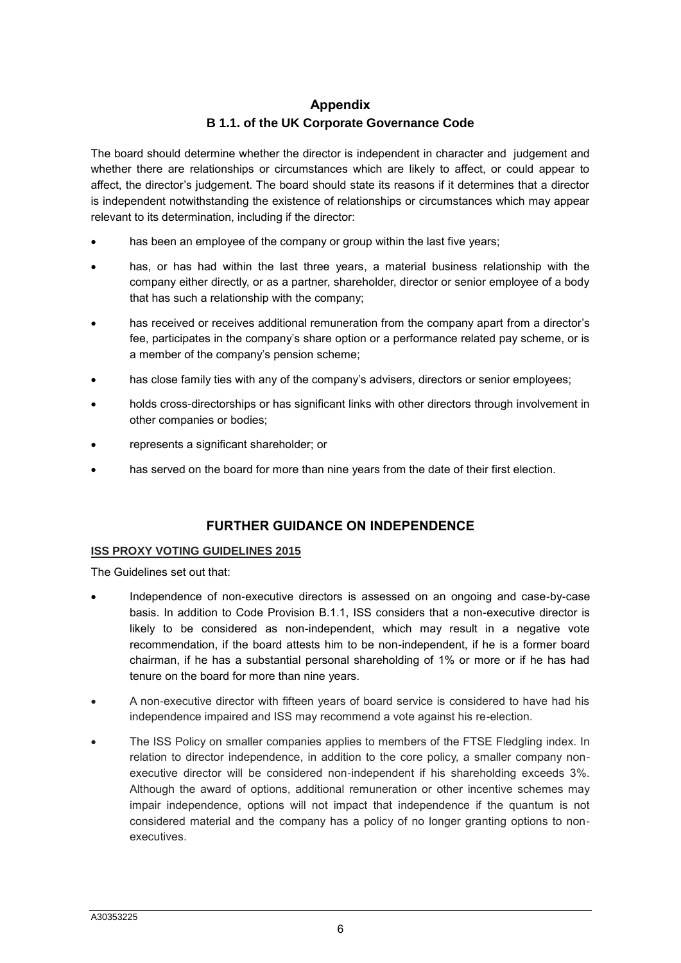## **Appendix B 1.1. of the UK Corporate Governance Code**

The board should determine whether the director is independent in character and judgement and whether there are relationships or circumstances which are likely to affect, or could appear to affect, the director's judgement. The board should state its reasons if it determines that a director is independent notwithstanding the existence of relationships or circumstances which may appear relevant to its determination, including if the director:

- has been an employee of the company or group within the last five years;
- has, or has had within the last three years, a material business relationship with the company either directly, or as a partner, shareholder, director or senior employee of a body that has such a relationship with the company;
- has received or receives additional remuneration from the company apart from a director's fee, participates in the company's share option or a performance related pay scheme, or is a member of the company's pension scheme;
- has close family ties with any of the company's advisers, directors or senior employees;
- holds cross-directorships or has significant links with other directors through involvement in other companies or bodies;
- represents a significant shareholder; or
- has served on the board for more than nine years from the date of their first election.

### **FURTHER GUIDANCE ON INDEPENDENCE**

#### **ISS PROXY VOTING GUIDELINES 2015**

The Guidelines set out that:

- Independence of non-executive directors is assessed on an ongoing and case-by-case basis. In addition to Code Provision B.1.1, ISS considers that a non-executive director is likely to be considered as non-independent, which may result in a negative vote recommendation, if the board attests him to be non-independent, if he is a former board chairman, if he has a substantial personal shareholding of 1% or more or if he has had tenure on the board for more than nine years.
- A non-executive director with fifteen years of board service is considered to have had his independence impaired and ISS may recommend a vote against his re-election.
- The ISS Policy on smaller companies applies to members of the FTSE Fledgling index. In relation to director independence, in addition to the core policy, a smaller company nonexecutive director will be considered non-independent if his shareholding exceeds 3%. Although the award of options, additional remuneration or other incentive schemes may impair independence, options will not impact that independence if the quantum is not considered material and the company has a policy of no longer granting options to nonexecutives.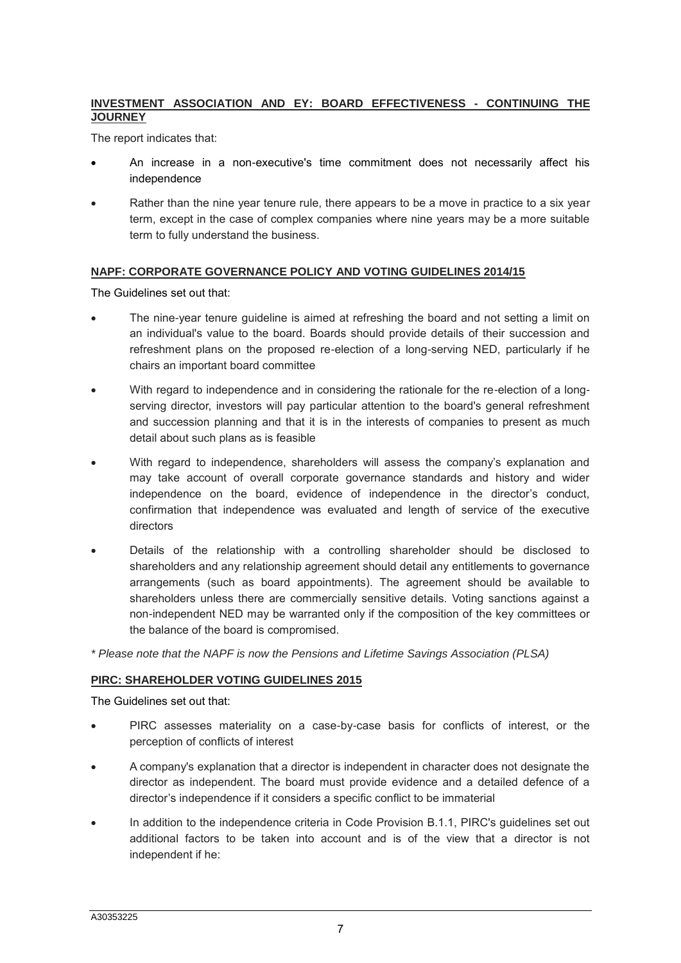### **INVESTMENT ASSOCIATION AND EY: BOARD EFFECTIVENESS - CONTINUING THE JOURNEY**

The report indicates that:

- An increase in a non-executive's time commitment does not necessarily affect his independence
- Rather than the nine year tenure rule, there appears to be a move in practice to a six year term, except in the case of complex companies where nine years may be a more suitable term to fully understand the business.

#### **NAPF: CORPORATE GOVERNANCE POLICY AND VOTING GUIDELINES 2014/15**

The Guidelines set out that:

- The nine-year tenure guideline is aimed at refreshing the board and not setting a limit on an individual's value to the board. Boards should provide details of their succession and refreshment plans on the proposed re-election of a long-serving NED, particularly if he chairs an important board committee
- With regard to independence and in considering the rationale for the re-election of a longserving director, investors will pay particular attention to the board's general refreshment and succession planning and that it is in the interests of companies to present as much detail about such plans as is feasible
- With regard to independence, shareholders will assess the company's explanation and may take account of overall corporate governance standards and history and wider independence on the board, evidence of independence in the director's conduct, confirmation that independence was evaluated and length of service of the executive directors
- Details of the relationship with a controlling shareholder should be disclosed to shareholders and any relationship agreement should detail any entitlements to governance arrangements (such as board appointments). The agreement should be available to shareholders unless there are commercially sensitive details. Voting sanctions against a non-independent NED may be warranted only if the composition of the key committees or the balance of the board is compromised.
- *\* Please note that the NAPF is now the Pensions and Lifetime Savings Association (PLSA)*

### **PIRC: SHAREHOLDER VOTING GUIDELINES 2015**

The Guidelines set out that:

- PIRC assesses materiality on a case-by-case basis for conflicts of interest, or the perception of conflicts of interest
- A company's explanation that a director is independent in character does not designate the director as independent. The board must provide evidence and a detailed defence of a director's independence if it considers a specific conflict to be immaterial
- In addition to the independence criteria in Code Provision B.1.1, PIRC's guidelines set out additional factors to be taken into account and is of the view that a director is not independent if he: